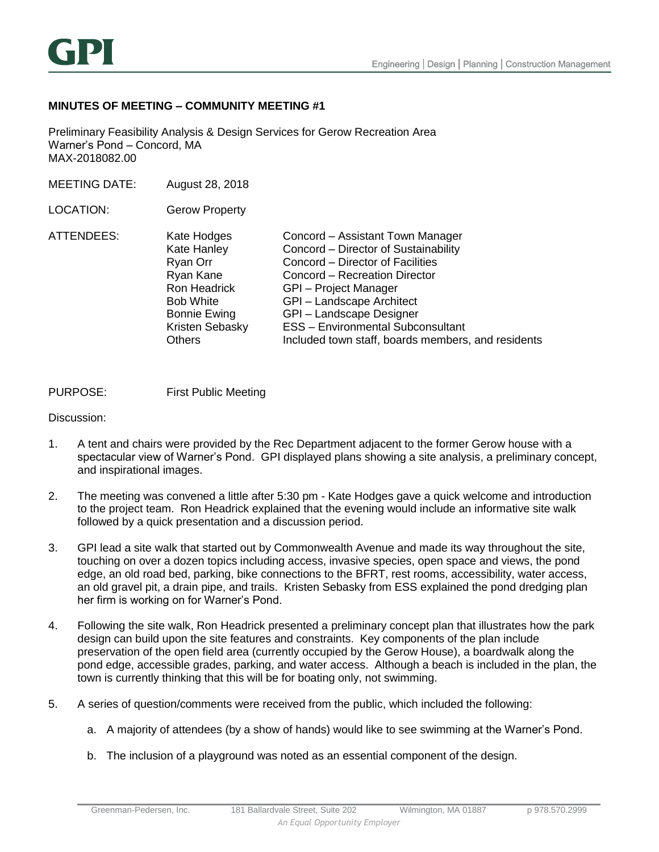

## **MINUTES OF MEETING – COMMUNITY MEETING #1**

Preliminary Feasibility Analysis & Design Services for Gerow Recreation Area Warner's Pond – Concord, MA MAX-2018082.00

MEETING DATE: August 28, 2018

LOCATION: Gerow Property

| ATTENDEES: | Kate Hodges         | Concord - Assistant Town Manager                   |
|------------|---------------------|----------------------------------------------------|
|            | Kate Hanley         | Concord - Director of Sustainability               |
|            | Ryan Orr            | Concord - Director of Facilities                   |
|            | Ryan Kane           | Concord - Recreation Director                      |
|            | <b>Ron Headrick</b> | GPI - Project Manager                              |
|            | <b>Bob White</b>    | GPI-Landscape Architect                            |
|            | <b>Bonnie Ewing</b> | GPI-Landscape Designer                             |
|            | Kristen Sebasky     | <b>ESS - Environmental Subconsultant</b>           |
|            | <b>Others</b>       | Included town staff, boards members, and residents |

## PURPOSE: First Public Meeting

Discussion:

- 1. A tent and chairs were provided by the Rec Department adjacent to the former Gerow house with a spectacular view of Warner's Pond. GPI displayed plans showing a site analysis, a preliminary concept, and inspirational images.
- 2. The meeting was convened a little after 5:30 pm Kate Hodges gave a quick welcome and introduction to the project team. Ron Headrick explained that the evening would include an informative site walk followed by a quick presentation and a discussion period.
- 3. GPI lead a site walk that started out by Commonwealth Avenue and made its way throughout the site, touching on over a dozen topics including access, invasive species, open space and views, the pond edge, an old road bed, parking, bike connections to the BFRT, rest rooms, accessibility, water access, an old gravel pit, a drain pipe, and trails. Kristen Sebasky from ESS explained the pond dredging plan her firm is working on for Warner's Pond.
- 4. Following the site walk, Ron Headrick presented a preliminary concept plan that illustrates how the park design can build upon the site features and constraints. Key components of the plan include preservation of the open field area (currently occupied by the Gerow House), a boardwalk along the pond edge, accessible grades, parking, and water access. Although a beach is included in the plan, the town is currently thinking that this will be for boating only, not swimming.
- 5. A series of question/comments were received from the public, which included the following:
	- a. A majority of attendees (by a show of hands) would like to see swimming at the Warner's Pond.
	- b. The inclusion of a playground was noted as an essential component of the design.